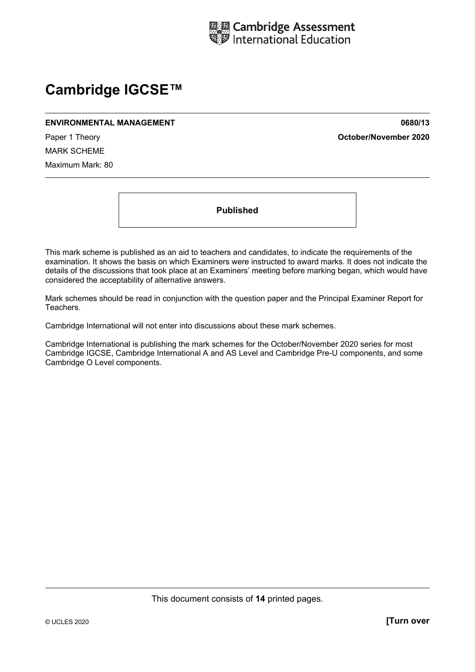

# **Cambridge IGCSE™**

#### **ENVIRONMENTAL MANAGEMENT 0680/13**

Paper 1 Theory **October/November 2020**

MARK SCHEME Maximum Mark: 80

**Published** 

This mark scheme is published as an aid to teachers and candidates, to indicate the requirements of the examination. It shows the basis on which Examiners were instructed to award marks. It does not indicate the details of the discussions that took place at an Examiners' meeting before marking began, which would have considered the acceptability of alternative answers.

Mark schemes should be read in conjunction with the question paper and the Principal Examiner Report for Teachers.

Cambridge International will not enter into discussions about these mark schemes.

Cambridge International is publishing the mark schemes for the October/November 2020 series for most Cambridge IGCSE, Cambridge International A and AS Level and Cambridge Pre-U components, and some Cambridge O Level components.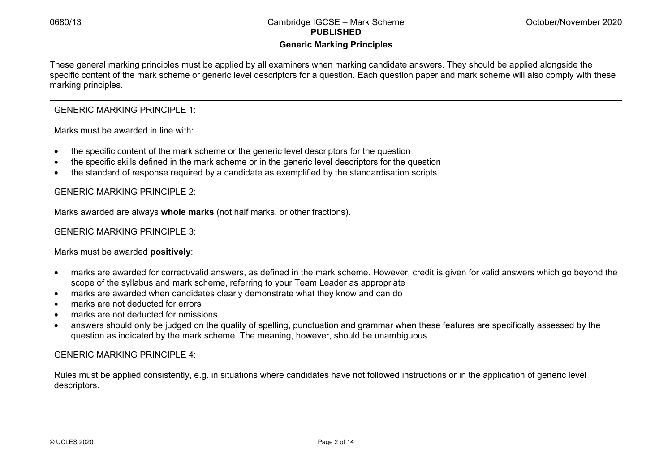# **Generic Marking Principles**

These general marking principles must be applied by all examiners when marking candidate answers. They should be applied alongside the specific content of the mark scheme or generic level descriptors for a question. Each question paper and mark scheme will also comply with these marking principles.

GENERIC MARKING PRINCIPLE 1:

Marks must be awarded in line with:

- the specific content of the mark scheme or the generic level descriptors for the question
- the specific skills defined in the mark scheme or in the generic level descriptors for the question
- the standard of response required by a candidate as exemplified by the standardisation scripts.

GENERIC MARKING PRINCIPLE 2:

Marks awarded are always **whole marks** (not half marks, or other fractions).

GENERIC MARKING PRINCIPLE 3:

Marks must be awarded **positively**:

- marks are awarded for correct/valid answers, as defined in the mark scheme. However, credit is given for valid answers which go beyond the scope of the syllabus and mark scheme, referring to your Team Leader as appropriate
- marks are awarded when candidates clearly demonstrate what they know and can do
- marks are not deducted for errors
- marks are not deducted for omissions
- answers should only be judged on the quality of spelling, punctuation and grammar when these features are specifically assessed by the question as indicated by the mark scheme. The meaning, however, should be unambiguous.

GENERIC MARKING PRINCIPLE  $4^{\circ}$ 

Rules must be applied consistently, e.g. in situations where candidates have not followed instructions or in the application of generic level descriptors.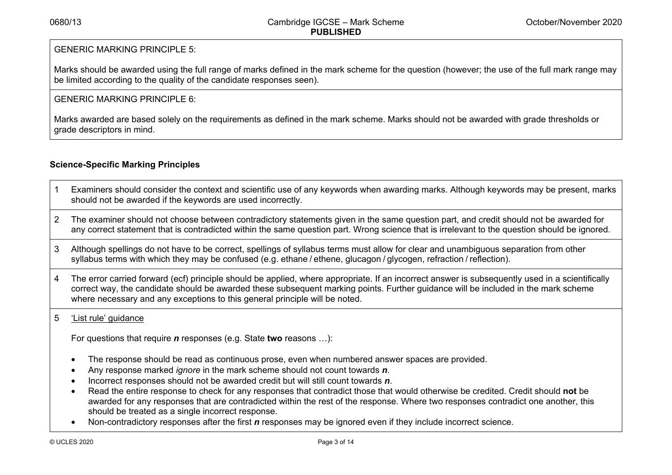# GENERIC MARKING PRINCIPLE 5:

Marks should be awarded using the full range of marks defined in the mark scheme for the question (however; the use of the full mark range may be limited according to the quality of the candidate responses seen).

# $GFNFRIC$  MARKING PRINCIPLE 6:

Marks awarded are based solely on the requirements as defined in the mark scheme. Marks should not be awarded with grade thresholds or grade descriptors in mind.

# **Science-Specific Marking Principles**

- 1 Examiners should consider the context and scientific use of any keywords when awarding marks. Although keywords may be present, marks should not be awarded if the keywords are used incorrectly.
- 2 The examiner should not choose between contradictory statements given in the same question part, and credit should not be awarded for any correct statement that is contradicted within the same question part. Wrong science that is irrelevant to the question should be ignored.
- 3 Although spellings do not have to be correct, spellings of syllabus terms must allow for clear and unambiguous separation from other syllabus terms with which they may be confused (e.g. ethane / ethene, glucagon / glycogen, refraction / reflection).
- 4 The error carried forward (ecf) principle should be applied, where appropriate. If an incorrect answer is subsequently used in a scientifically correct way, the candidate should be awarded these subsequent marking points. Further guidance will be included in the mark scheme where necessary and any exceptions to this general principle will be noted.

# 5 'List rule' guidance

For questions that require *<sup>n</sup>* responses (e.g. State **two** reasons …):

- The response should be read as continuous prose, even when numbered answer spaces are provided.
- Any response marked *ignore* in the mark scheme should not count towards *n*.
- Incorrect responses should not be awarded credit but will still count towards *n*.
- Read the entire response to check for any responses that contradict those that would otherwise be credited. Credit should **not** be awarded for any responses that are contradicted within the rest of the response. Where two responses contradict one another, this should be treated as a single incorrect response.
- Non-contradictory responses after the first *n* responses may be ignored even if they include incorrect science.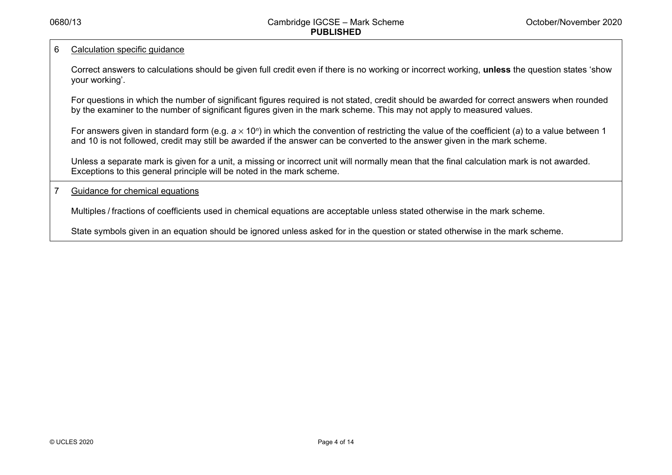## 6 Calculation specific guidance

Correct answers to calculations should be given full credit even if there is no working or incorrect working, **unless** the question states 'show your working'.

For questions in which the number of significant figures required is not stated, credit should be awarded for correct answers when rounded by the examiner to the number of significant figures given in the mark scheme. This may not apply to measured values.

For answers given in standard form (e.g. a × 10<sup>*n*</sup>) in which the convention of restricting the value of the coefficient (a) to a value between 1 and 10 is not followed, credit may still be awarded if the answer can be converted to the answer given in the mark scheme.

Unless a separate mark is given for a unit, a missing or incorrect unit will normally mean that the final calculation mark is not awarded. Exceptions to this general principle will be noted in the mark scheme.

## 7 Guidance for chemical equations

Multiples / fractions of coefficients used in chemical equations are acceptable unless stated otherwise in the mark scheme.

State symbols given in an equation should be ignored unless asked for in the question or stated otherwise in the mark scheme.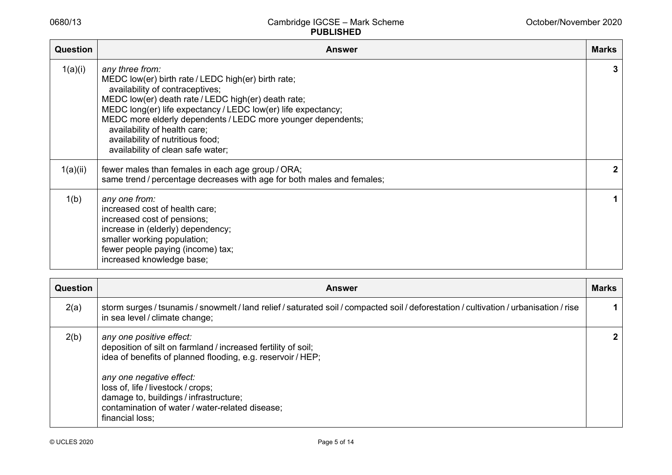| <b>Question</b> | <b>Answer</b>                                                                                                                                                                                                                                                                                                                                                                                              | Marks        |
|-----------------|------------------------------------------------------------------------------------------------------------------------------------------------------------------------------------------------------------------------------------------------------------------------------------------------------------------------------------------------------------------------------------------------------------|--------------|
| 1(a)(i)         | any three from:<br>MEDC low(er) birth rate / LEDC high(er) birth rate;<br>availability of contraceptives;<br>MEDC low(er) death rate / LEDC high(er) death rate;<br>MEDC long(er) life expectancy / LEDC low(er) life expectancy;<br>MEDC more elderly dependents / LEDC more younger dependents;<br>availability of health care;<br>availability of nutritious food;<br>availability of clean safe water; | 3            |
| 1(a)(ii)        | fewer males than females in each age group / ORA;<br>same trend / percentage decreases with age for both males and females;                                                                                                                                                                                                                                                                                | $\mathbf{2}$ |
| 1(b)            | any one from:<br>increased cost of health care;<br>increased cost of pensions;<br>increase in (elderly) dependency;<br>smaller working population;<br>fewer people paying (income) tax;<br>increased knowledge base;                                                                                                                                                                                       |              |

| Question | <b>Answer</b>                                                                                                                                                                                                                                                                                                                              |   |  |  |  |
|----------|--------------------------------------------------------------------------------------------------------------------------------------------------------------------------------------------------------------------------------------------------------------------------------------------------------------------------------------------|---|--|--|--|
| 2(a)     | storm surges / tsunamis / snowmelt / land relief / saturated soil / compacted soil / deforestation / cultivation / urbanisation / rise<br>in sea level / climate change;                                                                                                                                                                   |   |  |  |  |
| 2(b)     | any one positive effect:<br>deposition of silt on farmland / increased fertility of soil;<br>idea of benefits of planned flooding, e.g. reservoir / HEP;<br>any one negative effect:<br>loss of, life / livestock / crops;<br>damage to, buildings / infrastructure;<br>contamination of water / water-related disease;<br>financial loss; | 2 |  |  |  |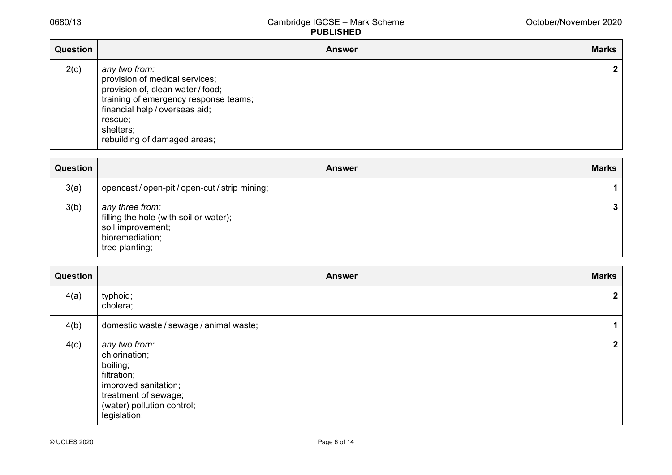| Question | <b>Answer</b>                                                                                                                                                                                                           | <b>Marks</b> |
|----------|-------------------------------------------------------------------------------------------------------------------------------------------------------------------------------------------------------------------------|--------------|
| 2(c)     | any two from:<br>provision of medical services;<br>provision of, clean water / food;<br>training of emergency response teams;<br>financial help / overseas aid;<br>rescue:<br>shelters;<br>rebuilding of damaged areas; | $\mathbf{2}$ |

| Question | <b>Answer</b>                                                                                                       | <b>Marks</b> |
|----------|---------------------------------------------------------------------------------------------------------------------|--------------|
| 3(a)     | opencast / open-pit / open-cut / strip mining;                                                                      | 1            |
| 3(b)     | any three from:<br>filling the hole (with soil or water);<br>soil improvement;<br>bioremediation;<br>tree planting; | $\mathbf{3}$ |

| Question | <b>Answer</b>                                                                                                                                           | <b>Marks</b>   |  |  |  |  |
|----------|---------------------------------------------------------------------------------------------------------------------------------------------------------|----------------|--|--|--|--|
| 4(a)     | typhoid;<br>cholera;                                                                                                                                    | $\overline{2}$ |  |  |  |  |
| 4(b)     | domestic waste / sewage / animal waste;                                                                                                                 |                |  |  |  |  |
| 4(c)     | any two from:<br>chlorination;<br>boiling;<br>filtration;<br>improved sanitation;<br>treatment of sewage;<br>(water) pollution control;<br>legislation; | $\mathbf{2}$   |  |  |  |  |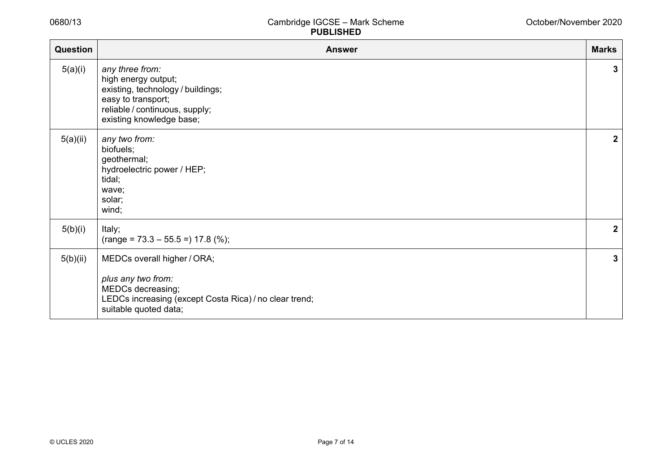| <b>Question</b> | <b>Answer</b>                                                                                                                                                   | <b>Marks</b> |
|-----------------|-----------------------------------------------------------------------------------------------------------------------------------------------------------------|--------------|
| 5(a)(i)         | any three from:<br>high energy output;<br>existing, technology / buildings;<br>easy to transport;<br>reliable / continuous, supply;<br>existing knowledge base; | 3            |
| 5(a)(ii)        | any two from:<br>biofuels;<br>geothermal;<br>hydroelectric power / HEP;<br>tidal;<br>wave;<br>solar;<br>wind;                                                   | $\mathbf{2}$ |
| 5(b)(i)         | Italy;<br>$(range = 73.3 - 55.5 =) 17.8 (%);$                                                                                                                   | $\mathbf{2}$ |
| 5(b)(ii)        | MEDCs overall higher / ORA;<br>plus any two from:<br>MEDCs decreasing;<br>LEDCs increasing (except Costa Rica) / no clear trend;<br>suitable quoted data;       | 3            |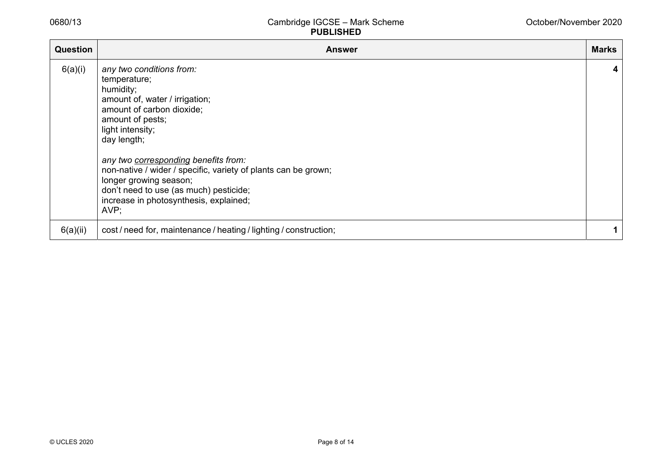| <b>Question</b> | <b>Answer</b>                                                                                                                                                                                                                                                                                                                                                                                               | <b>Marks</b> |
|-----------------|-------------------------------------------------------------------------------------------------------------------------------------------------------------------------------------------------------------------------------------------------------------------------------------------------------------------------------------------------------------------------------------------------------------|--------------|
| 6(a)(i)         | any two conditions from:<br>temperature;<br>humidity;<br>amount of, water / irrigation;<br>amount of carbon dioxide;<br>amount of pests;<br>light intensity;<br>day length;<br>any two corresponding benefits from:<br>non-native / wider / specific, variety of plants can be grown;<br>longer growing season;<br>don't need to use (as much) pesticide;<br>increase in photosynthesis, explained;<br>AVP; | 4            |
| 6(a)(ii)        | cost/need for, maintenance/heating/lighting/construction;                                                                                                                                                                                                                                                                                                                                                   |              |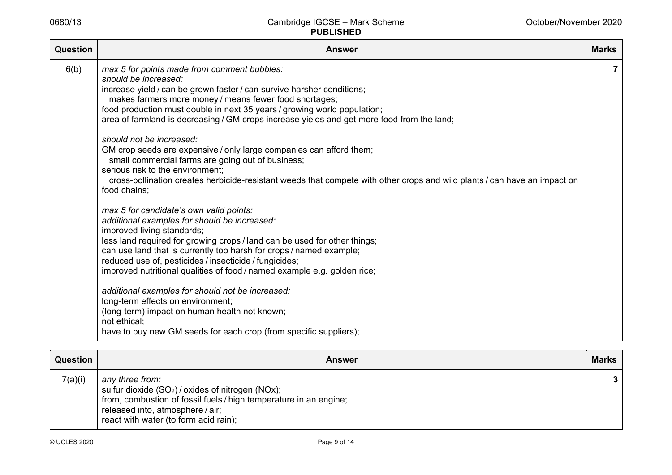| <b>Question</b> | <b>Answer</b>                                                                                                                                                                                                                                                                                                                                                                                                   | <b>Marks</b> |
|-----------------|-----------------------------------------------------------------------------------------------------------------------------------------------------------------------------------------------------------------------------------------------------------------------------------------------------------------------------------------------------------------------------------------------------------------|--------------|
| 6(b)            | max 5 for points made from comment bubbles:<br>should be increased:<br>increase yield / can be grown faster / can survive harsher conditions;<br>makes farmers more money / means fewer food shortages;<br>food production must double in next 35 years / growing world population;<br>area of farmland is decreasing / GM crops increase yields and get more food from the land;<br>should not be increased:   | 7            |
|                 | GM crop seeds are expensive / only large companies can afford them;<br>small commercial farms are going out of business;<br>serious risk to the environment;<br>cross-pollination creates herbicide-resistant weeds that compete with other crops and wild plants / can have an impact on<br>food chains;                                                                                                       |              |
|                 | max 5 for candidate's own valid points:<br>additional examples for should be increased:<br>improved living standards;<br>less land required for growing crops / land can be used for other things;<br>can use land that is currently too harsh for crops / named example;<br>reduced use of, pesticides / insecticide / fungicides;<br>improved nutritional qualities of food / named example e.g. golden rice; |              |
|                 | additional examples for should not be increased:<br>long-term effects on environment;<br>(long-term) impact on human health not known;<br>not ethical;<br>have to buy new GM seeds for each crop (from specific suppliers);                                                                                                                                                                                     |              |

| Question | <b>Answer</b>                                                                                                                                                                                                           | <b>Marks</b>    |
|----------|-------------------------------------------------------------------------------------------------------------------------------------------------------------------------------------------------------------------------|-----------------|
| 7(a)(i)  | any three from:<br>sulfur dioxide $(SO2)$ / oxides of nitrogen (NOx);<br>from, combustion of fossil fuels / high temperature in an engine;<br>released into, atmosphere / air;<br>react with water (to form acid rain); | $3\phantom{.0}$ |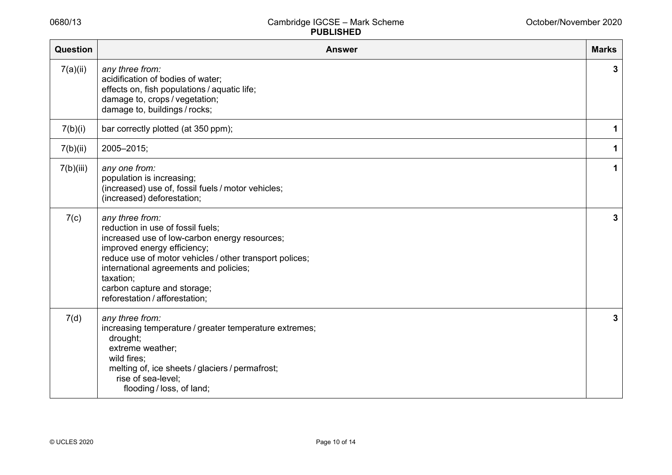| <b>Question</b> | <b>Answer</b>                                                                                                                                                                                                                                                                                                           | <b>Marks</b> |
|-----------------|-------------------------------------------------------------------------------------------------------------------------------------------------------------------------------------------------------------------------------------------------------------------------------------------------------------------------|--------------|
| 7(a)(ii)        | any three from:<br>acidification of bodies of water;<br>effects on, fish populations / aquatic life;<br>damage to, crops / vegetation;<br>damage to, buildings / rocks;                                                                                                                                                 | 3            |
| 7(b)(i)         | bar correctly plotted (at 350 ppm);                                                                                                                                                                                                                                                                                     | 1            |
| 7(b)(ii)        | 2005-2015;                                                                                                                                                                                                                                                                                                              | 1            |
| 7(b)(iii)       | any one from:<br>population is increasing;<br>(increased) use of, fossil fuels / motor vehicles;<br>(increased) deforestation;                                                                                                                                                                                          | 1            |
| 7(c)            | any three from:<br>reduction in use of fossil fuels;<br>increased use of low-carbon energy resources;<br>improved energy efficiency;<br>reduce use of motor vehicles / other transport polices;<br>international agreements and policies;<br>taxation;<br>carbon capture and storage;<br>reforestation / afforestation; | 3            |
| 7(d)            | any three from:<br>increasing temperature / greater temperature extremes;<br>drought;<br>extreme weather;<br>wild fires:<br>melting of, ice sheets / glaciers / permafrost;<br>rise of sea-level;<br>flooding / loss, of land;                                                                                          | 3            |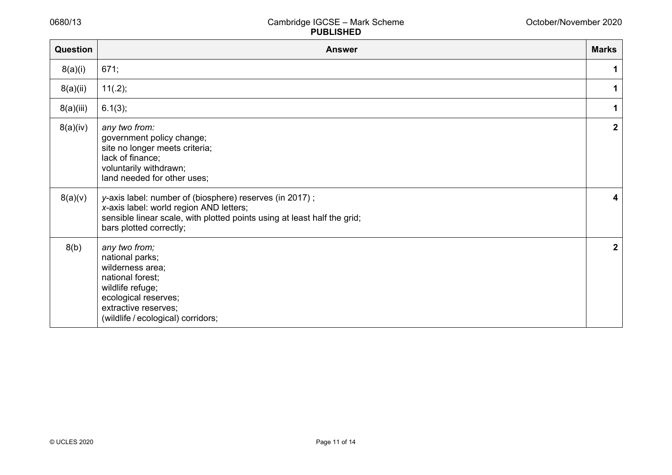| <b>Question</b> | <b>Answer</b>                                                                                                                                                                                             | <b>Marks</b>     |
|-----------------|-----------------------------------------------------------------------------------------------------------------------------------------------------------------------------------------------------------|------------------|
| 8(a)(i)         | 671;                                                                                                                                                                                                      | 1                |
| 8(a)(ii)        | $11(.2)$ ;                                                                                                                                                                                                | 1                |
| 8(a)(iii)       | 6.1(3);                                                                                                                                                                                                   | 1                |
| 8(a)(iv)        | any two from:<br>government policy change;<br>site no longer meets criteria;<br>lack of finance;<br>voluntarily withdrawn;<br>land needed for other uses;                                                 | $\mathbf 2$      |
| 8(a)(v)         | y-axis label: number of (biosphere) reserves (in 2017);<br>x-axis label: world region AND letters;<br>sensible linear scale, with plotted points using at least half the grid;<br>bars plotted correctly; | 4                |
| 8(b)            | any two from;<br>national parks;<br>wilderness area;<br>national forest;<br>wildlife refuge;<br>ecological reserves;<br>extractive reserves;<br>(wildlife / ecological) corridors;                        | $\boldsymbol{2}$ |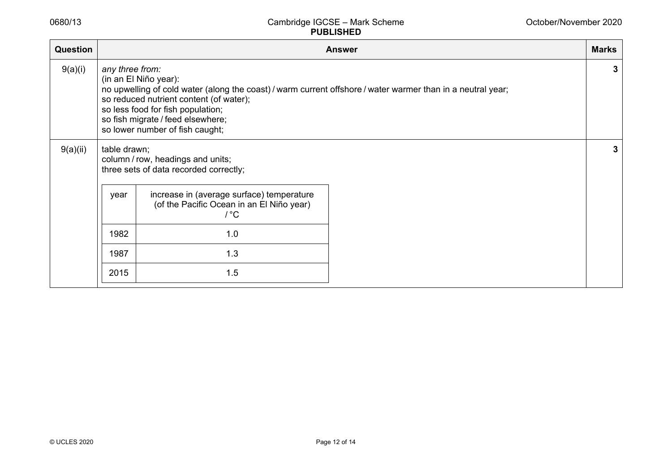| Question |                                                                                                                                                                                                                                                                                                                 | <b>Marks</b><br><b>Answer</b>                                                                      |   |   |
|----------|-----------------------------------------------------------------------------------------------------------------------------------------------------------------------------------------------------------------------------------------------------------------------------------------------------------------|----------------------------------------------------------------------------------------------------|---|---|
| 9(a)(i)  | any three from:<br>(in an El Niño year):<br>no upwelling of cold water (along the coast) / warm current offshore / water warmer than in a neutral year;<br>so reduced nutrient content (of water);<br>so less food for fish population;<br>so fish migrate / feed elsewhere;<br>so lower number of fish caught; |                                                                                                    | 3 |   |
| 9(a)(ii) | table drawn;<br>column / row, headings and units;<br>three sets of data recorded correctly;                                                                                                                                                                                                                     |                                                                                                    |   | 3 |
|          | year                                                                                                                                                                                                                                                                                                            | increase in (average surface) temperature<br>(of the Pacific Ocean in an El Niño year)<br>$\int C$ |   |   |
|          | 1982                                                                                                                                                                                                                                                                                                            | 1.0                                                                                                |   |   |
|          | 1987                                                                                                                                                                                                                                                                                                            | 1.3                                                                                                |   |   |
|          | 2015                                                                                                                                                                                                                                                                                                            | 1.5                                                                                                |   |   |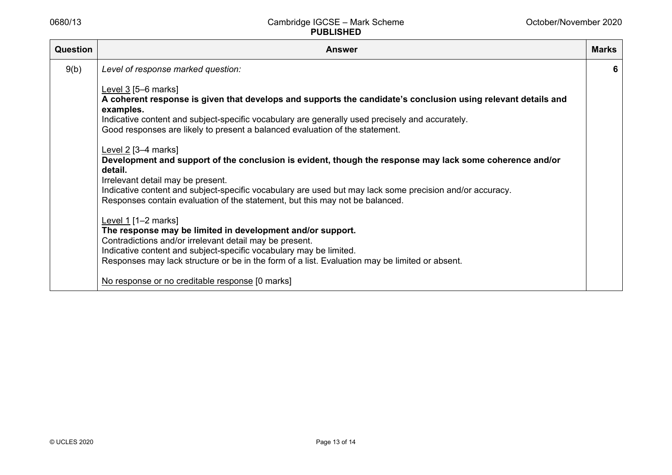| Question | <b>Answer</b>                                                                                                                                                                                                                                                                                                                                                                                                                                                                                                                                                                                                                                                                                                                                                                                                                                                           | <b>Marks</b> |
|----------|-------------------------------------------------------------------------------------------------------------------------------------------------------------------------------------------------------------------------------------------------------------------------------------------------------------------------------------------------------------------------------------------------------------------------------------------------------------------------------------------------------------------------------------------------------------------------------------------------------------------------------------------------------------------------------------------------------------------------------------------------------------------------------------------------------------------------------------------------------------------------|--------------|
| 9(b)     | Level of response marked question:                                                                                                                                                                                                                                                                                                                                                                                                                                                                                                                                                                                                                                                                                                                                                                                                                                      | 6            |
|          | Level $3$ [5–6 marks]<br>A coherent response is given that develops and supports the candidate's conclusion using relevant details and<br>examples.<br>Indicative content and subject-specific vocabulary are generally used precisely and accurately.<br>Good responses are likely to present a balanced evaluation of the statement.<br>Level $2$ [3-4 marks]<br>Development and support of the conclusion is evident, though the response may lack some coherence and/or<br>detail.<br>Irrelevant detail may be present.<br>Indicative content and subject-specific vocabulary are used but may lack some precision and/or accuracy.<br>Responses contain evaluation of the statement, but this may not be balanced.<br>Level 1 [1–2 marks]<br>The response may be limited in development and/or support.<br>Contradictions and/or irrelevant detail may be present. |              |
|          | Indicative content and subject-specific vocabulary may be limited.<br>Responses may lack structure or be in the form of a list. Evaluation may be limited or absent.                                                                                                                                                                                                                                                                                                                                                                                                                                                                                                                                                                                                                                                                                                    |              |
|          | No response or no creditable response [0 marks]                                                                                                                                                                                                                                                                                                                                                                                                                                                                                                                                                                                                                                                                                                                                                                                                                         |              |